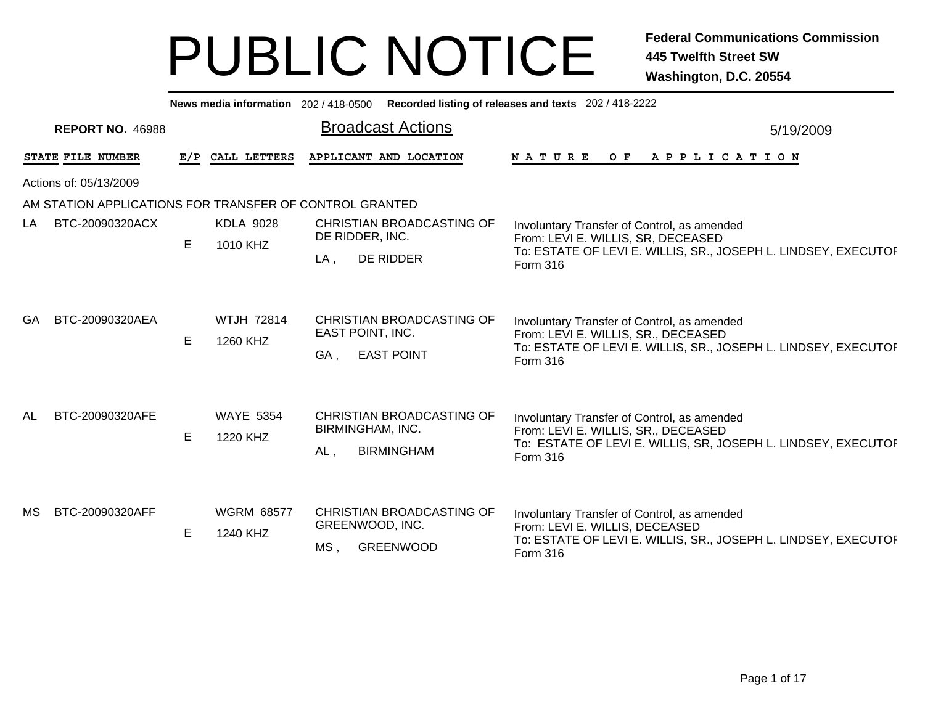| News media information 202/418-0500 Recorded listing of releases and texts 202/418-2222 |                         |    |                               |                                                                           |                                                                                                                                                                  |  |  |  |  |  |  |  |
|-----------------------------------------------------------------------------------------|-------------------------|----|-------------------------------|---------------------------------------------------------------------------|------------------------------------------------------------------------------------------------------------------------------------------------------------------|--|--|--|--|--|--|--|
|                                                                                         | <b>REPORT NO. 46988</b> |    |                               | <b>Broadcast Actions</b>                                                  | 5/19/2009                                                                                                                                                        |  |  |  |  |  |  |  |
|                                                                                         | STATE FILE NUMBER       |    | E/P CALL LETTERS              | APPLICANT AND LOCATION                                                    | N A T U R E<br>O F<br>A P P L I C A T I O N                                                                                                                      |  |  |  |  |  |  |  |
|                                                                                         | Actions of: 05/13/2009  |    |                               |                                                                           |                                                                                                                                                                  |  |  |  |  |  |  |  |
|                                                                                         |                         |    |                               | AM STATION APPLICATIONS FOR TRANSFER OF CONTROL GRANTED                   |                                                                                                                                                                  |  |  |  |  |  |  |  |
| LA                                                                                      | BTC-20090320ACX         | E  | <b>KDLA 9028</b><br>1010 KHZ  | CHRISTIAN BROADCASTING OF<br>DE RIDDER, INC.<br>DE RIDDER<br>$LA$ ,       | Involuntary Transfer of Control, as amended<br>From: LEVI E. WILLIS, SR, DECEASED<br>To: ESTATE OF LEVI E. WILLIS, SR., JOSEPH L. LINDSEY, EXECUTOF<br>Form 316  |  |  |  |  |  |  |  |
| <b>GA</b>                                                                               | BTC-20090320AEA         | E  | <b>WTJH 72814</b><br>1260 KHZ | CHRISTIAN BROADCASTING OF<br>EAST POINT, INC.<br><b>EAST POINT</b><br>GA, | Involuntary Transfer of Control, as amended<br>From: LEVI E. WILLIS, SR., DECEASED<br>To: ESTATE OF LEVI E. WILLIS, SR., JOSEPH L. LINDSEY, EXECUTOI<br>Form 316 |  |  |  |  |  |  |  |
| <b>AL</b>                                                                               | BTC-20090320AFE         | E. | <b>WAYE 5354</b><br>1220 KHZ  | CHRISTIAN BROADCASTING OF<br>BIRMINGHAM, INC.<br><b>BIRMINGHAM</b><br>AL, | Involuntary Transfer of Control, as amended<br>From: LEVI E. WILLIS, SR., DECEASED<br>To: ESTATE OF LEVI E. WILLIS, SR, JOSEPH L. LINDSEY, EXECUTOI<br>Form 316  |  |  |  |  |  |  |  |
| <b>MS</b>                                                                               | BTC-20090320AFF         | E. | <b>WGRM 68577</b><br>1240 KHZ | CHRISTIAN BROADCASTING OF<br>GREENWOOD, INC.<br>MS,<br><b>GREENWOOD</b>   | Involuntary Transfer of Control, as amended<br>From: LEVI E. WILLIS, DECEASED<br>To: ESTATE OF LEVI E. WILLIS, SR., JOSEPH L. LINDSEY, EXECUTOF<br>Form 316      |  |  |  |  |  |  |  |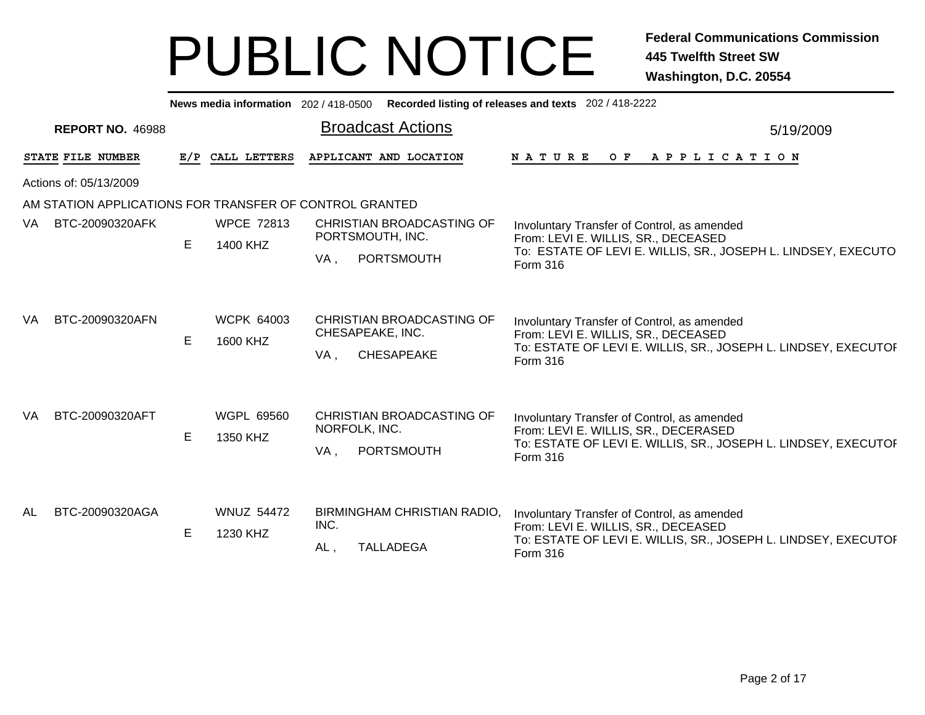|     | Recorded listing of releases and texts 202 / 418-2222<br>News media information 202/418-0500 |     |                               |                                                                           |                                                                                                                                                                         |  |  |  |  |  |  |  |  |  |
|-----|----------------------------------------------------------------------------------------------|-----|-------------------------------|---------------------------------------------------------------------------|-------------------------------------------------------------------------------------------------------------------------------------------------------------------------|--|--|--|--|--|--|--|--|--|
|     | <b>REPORT NO. 46988</b>                                                                      |     |                               | <b>Broadcast Actions</b>                                                  | 5/19/2009                                                                                                                                                               |  |  |  |  |  |  |  |  |  |
|     | STATE FILE NUMBER                                                                            | E/P | CALL LETTERS                  | APPLICANT AND LOCATION                                                    | <b>NATURE</b><br>O F<br>A P P L I C A T I O N                                                                                                                           |  |  |  |  |  |  |  |  |  |
|     | Actions of: 05/13/2009                                                                       |     |                               |                                                                           |                                                                                                                                                                         |  |  |  |  |  |  |  |  |  |
|     | AM STATION APPLICATIONS FOR TRANSFER OF CONTROL GRANTED                                      |     |                               |                                                                           |                                                                                                                                                                         |  |  |  |  |  |  |  |  |  |
| VA. | BTC-20090320AFK                                                                              | E.  | <b>WPCE 72813</b><br>1400 KHZ | CHRISTIAN BROADCASTING OF<br>PORTSMOUTH, INC.<br>PORTSMOUTH<br>VA,        | Involuntary Transfer of Control, as amended<br>From: LEVI E. WILLIS, SR., DECEASED<br>To: ESTATE OF LEVI E. WILLIS, SR., JOSEPH L. LINDSEY, EXECUTO<br>Form 316         |  |  |  |  |  |  |  |  |  |
| VA. | BTC-20090320AFN                                                                              | E   | <b>WCPK 64003</b><br>1600 KHZ | CHRISTIAN BROADCASTING OF<br>CHESAPEAKE, INC.<br><b>CHESAPEAKE</b><br>VA, | Involuntary Transfer of Control, as amended<br>From: LEVI E. WILLIS, SR., DECEASED<br>To: ESTATE OF LEVI E. WILLIS, SR., JOSEPH L. LINDSEY, EXECUTOI<br><b>Form 316</b> |  |  |  |  |  |  |  |  |  |
| VA  | BTC-20090320AFT                                                                              | E   | WGPL 69560<br>1350 KHZ        | CHRISTIAN BROADCASTING OF<br>NORFOLK, INC.<br>PORTSMOUTH<br>VA.           | Involuntary Transfer of Control, as amended<br>From: LEVI E. WILLIS, SR., DECERASED<br>To: ESTATE OF LEVI E. WILLIS, SR., JOSEPH L. LINDSEY, EXECUTOI<br>Form 316       |  |  |  |  |  |  |  |  |  |
| AL  | BTC-20090320AGA                                                                              | E   | <b>WNUZ 54472</b><br>1230 KHZ | BIRMINGHAM CHRISTIAN RADIO,<br>INC.<br><b>TALLADEGA</b><br>AL,            | Involuntary Transfer of Control, as amended<br>From: LEVI E. WILLIS, SR., DECEASED<br>To: ESTATE OF LEVI E. WILLIS, SR., JOSEPH L. LINDSEY, EXECUTOF<br>Form 316        |  |  |  |  |  |  |  |  |  |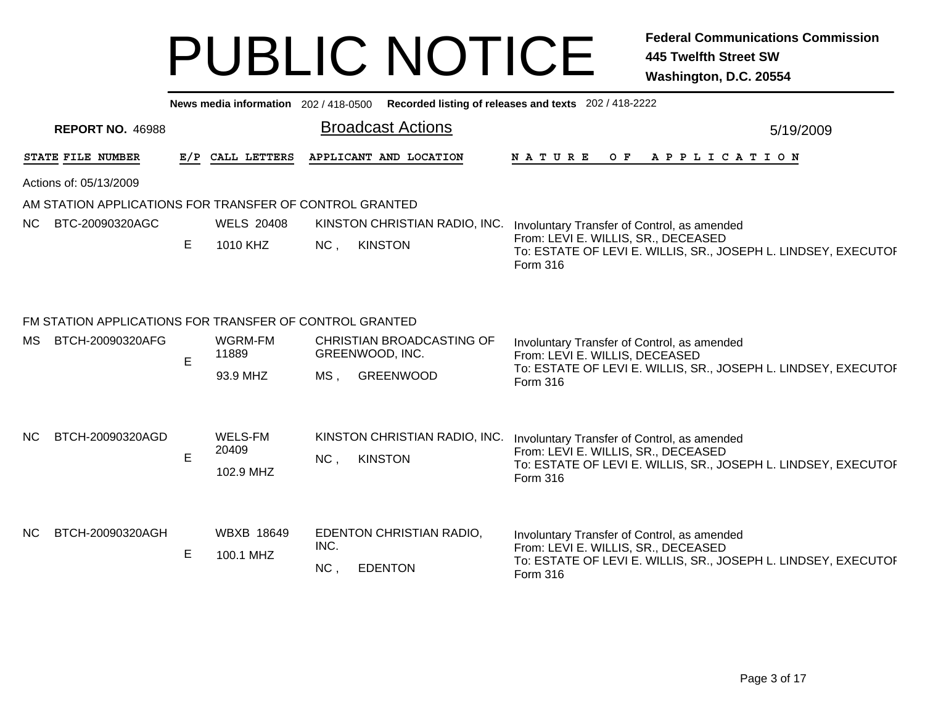|           |                                                                             |   |                                |                                    |                                                 | News media information 202 / 418-0500 Recorded listing of releases and texts 202 / 418-2222                                                                             |
|-----------|-----------------------------------------------------------------------------|---|--------------------------------|------------------------------------|-------------------------------------------------|-------------------------------------------------------------------------------------------------------------------------------------------------------------------------|
|           | <b>REPORT NO. 46988</b>                                                     |   |                                |                                    | <b>Broadcast Actions</b>                        | 5/19/2009                                                                                                                                                               |
|           | STATE FILE NUMBER                                                           |   | E/P CALL LETTERS               |                                    | APPLICANT AND LOCATION                          | NATURE<br>APPLICATION<br>O F                                                                                                                                            |
|           | Actions of: 05/13/2009                                                      |   |                                |                                    |                                                 |                                                                                                                                                                         |
|           | AM STATION APPLICATIONS FOR TRANSFER OF CONTROL GRANTED                     |   |                                |                                    |                                                 |                                                                                                                                                                         |
| <b>NC</b> | BTC-20090320AGC                                                             |   | <b>WELS 20408</b>              | KINSTON CHRISTIAN RADIO, INC.      | Involuntary Transfer of Control, as amended     |                                                                                                                                                                         |
|           |                                                                             | Е | 1010 KHZ                       | NC,                                | <b>KINSTON</b>                                  | From: LEVI E. WILLIS, SR., DECEASED<br>To: ESTATE OF LEVI E. WILLIS, SR., JOSEPH L. LINDSEY, EXECUTOI<br><b>Form 316</b>                                                |
| MS.       | FM STATION APPLICATIONS FOR TRANSFER OF CONTROL GRANTED<br>BTCH-20090320AFG | E | WGRM-FM<br>11889<br>93.9 MHZ   | GREENWOOD, INC.<br>MS <sub>1</sub> | CHRISTIAN BROADCASTING OF<br><b>GREENWOOD</b>   | Involuntary Transfer of Control, as amended<br>From: LEVI E. WILLIS, DECEASED<br>To: ESTATE OF LEVI E. WILLIS, SR., JOSEPH L. LINDSEY, EXECUTOF<br><b>Form 316</b>      |
| NC.       | BTCH-20090320AGD                                                            | E | WELS-FM<br>20409<br>102.9 MHZ  | NC,                                | KINSTON CHRISTIAN RADIO, INC.<br><b>KINSTON</b> | Involuntary Transfer of Control, as amended<br>From: LEVI E. WILLIS, SR., DECEASED<br>To: ESTATE OF LEVI E. WILLIS, SR., JOSEPH L. LINDSEY, EXECUTOF<br><b>Form 316</b> |
| NC.       | BTCH-20090320AGH                                                            | E | <b>WBXB 18649</b><br>100.1 MHZ | INC.<br>NC,                        | EDENTON CHRISTIAN RADIO,<br><b>EDENTON</b>      | Involuntary Transfer of Control, as amended<br>From: LEVI E. WILLIS, SR., DECEASED<br>To: ESTATE OF LEVI E. WILLIS, SR., JOSEPH L. LINDSEY, EXECUTOF<br><b>Form 316</b> |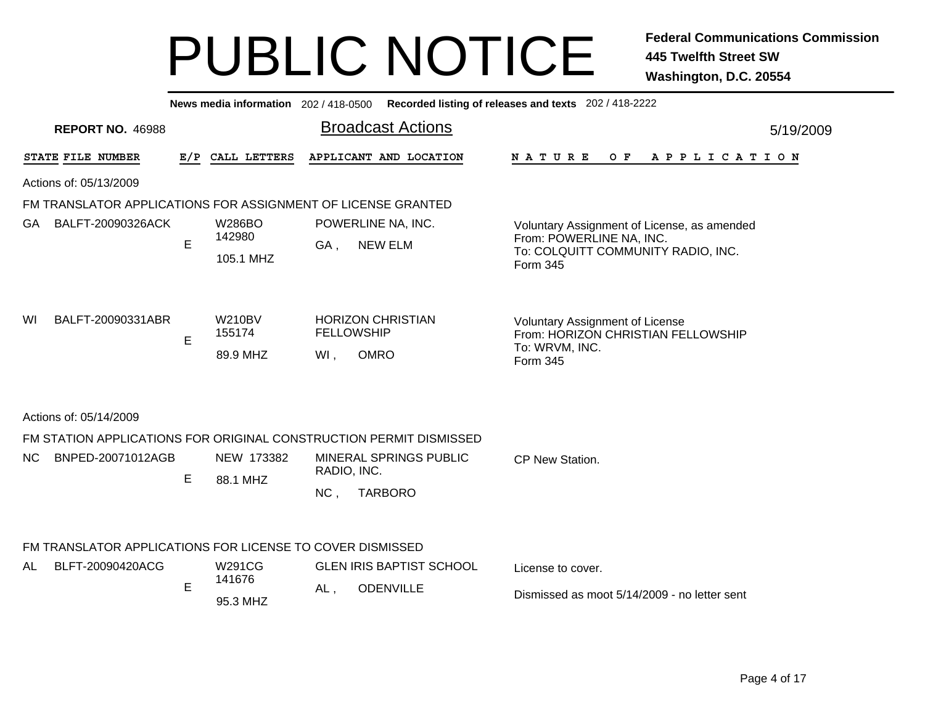|     | Recorded listing of releases and texts 202 / 418-2222<br>News media information 202 / 418-0500 |     |                                      |                          |                                                                    |                                                                                                                           |           |  |  |  |  |  |  |  |
|-----|------------------------------------------------------------------------------------------------|-----|--------------------------------------|--------------------------|--------------------------------------------------------------------|---------------------------------------------------------------------------------------------------------------------------|-----------|--|--|--|--|--|--|--|
|     | <b>REPORT NO. 46988</b>                                                                        |     |                                      |                          | <b>Broadcast Actions</b>                                           |                                                                                                                           | 5/19/2009 |  |  |  |  |  |  |  |
|     | STATE FILE NUMBER                                                                              | E/P | CALL LETTERS                         |                          | APPLICANT AND LOCATION                                             | NATURE<br>$O$ $F$<br>A P P L I C A T I O N                                                                                |           |  |  |  |  |  |  |  |
|     | Actions of: 05/13/2009                                                                         |     |                                      |                          |                                                                    |                                                                                                                           |           |  |  |  |  |  |  |  |
|     | FM TRANSLATOR APPLICATIONS FOR ASSIGNMENT OF LICENSE GRANTED                                   |     |                                      |                          |                                                                    |                                                                                                                           |           |  |  |  |  |  |  |  |
| GA. | BALFT-20090326ACK                                                                              | E   | <b>W286BO</b><br>142980<br>105.1 MHZ | GA,                      | POWERLINE NA, INC.<br><b>NEW ELM</b>                               | Voluntary Assignment of License, as amended<br>From: POWERLINE NA, INC.<br>To: COLQUITT COMMUNITY RADIO, INC.<br>Form 345 |           |  |  |  |  |  |  |  |
| WI  | BALFT-20090331ABR                                                                              | E   | <b>W210BV</b><br>155174<br>89.9 MHZ  | <b>FELLOWSHIP</b><br>WI, | <b>HORIZON CHRISTIAN</b><br><b>OMRO</b>                            | <b>Voluntary Assignment of License</b><br>From: HORIZON CHRISTIAN FELLOWSHIP<br>To: WRVM, INC.<br>Form 345                |           |  |  |  |  |  |  |  |
|     | Actions of: 05/14/2009                                                                         |     |                                      |                          |                                                                    |                                                                                                                           |           |  |  |  |  |  |  |  |
|     |                                                                                                |     |                                      |                          | FM STATION APPLICATIONS FOR ORIGINAL CONSTRUCTION PERMIT DISMISSED |                                                                                                                           |           |  |  |  |  |  |  |  |
| NC. | BNPED-20071012AGB                                                                              | E   | NEW 173382<br>88.1 MHZ               | RADIO, INC.<br>NC,       | <b>MINERAL SPRINGS PUBLIC</b><br><b>TARBORO</b>                    | CP New Station.                                                                                                           |           |  |  |  |  |  |  |  |
|     | FM TRANSLATOR APPLICATIONS FOR LICENSE TO COVER DISMISSED                                      |     |                                      |                          |                                                                    |                                                                                                                           |           |  |  |  |  |  |  |  |
| AL  | BLFT-20090420ACG                                                                               |     | W291CG                               |                          | <b>GLEN IRIS BAPTIST SCHOOL</b>                                    | License to cover.                                                                                                         |           |  |  |  |  |  |  |  |
|     |                                                                                                | E   | 141676<br>95.3 MHZ                   | AL,                      | <b>ODENVILLE</b>                                                   | Dismissed as moot 5/14/2009 - no letter sent                                                                              |           |  |  |  |  |  |  |  |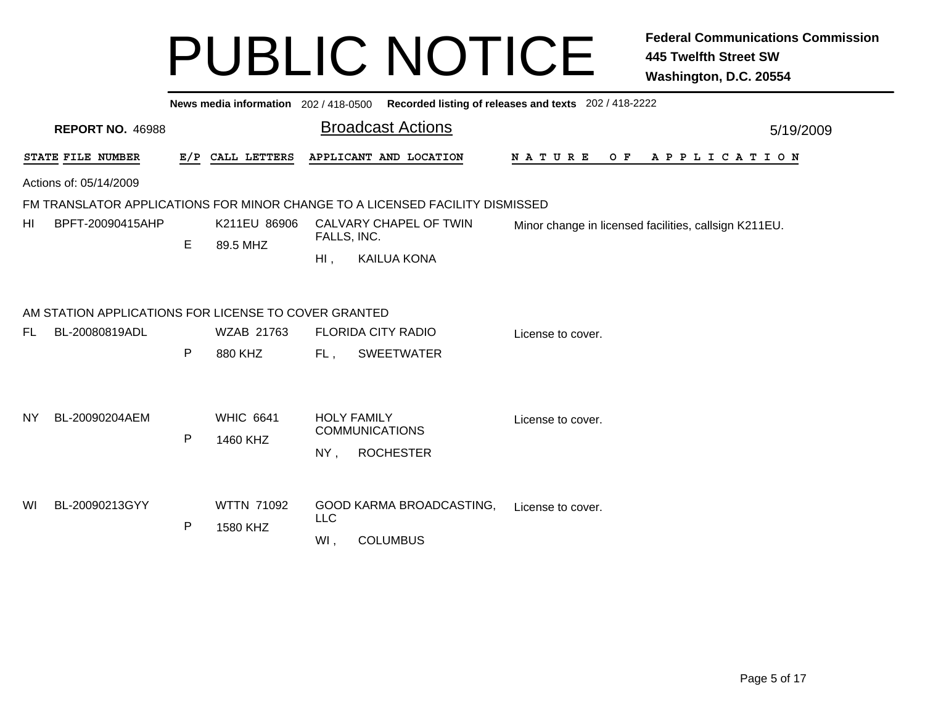|                                                                              | News media information 202 / 418-0500 Recorded listing of releases and texts 202 / 418-2222 |              |                                     |            |                                                |                   |                   |  |                                                       |  |           |         |  |  |  |  |             |  |  |  |  |
|------------------------------------------------------------------------------|---------------------------------------------------------------------------------------------|--------------|-------------------------------------|------------|------------------------------------------------|-------------------|-------------------|--|-------------------------------------------------------|--|-----------|---------|--|--|--|--|-------------|--|--|--|--|
|                                                                              | <b>REPORT NO. 46988</b>                                                                     |              |                                     |            | <b>Broadcast Actions</b>                       |                   |                   |  |                                                       |  | 5/19/2009 |         |  |  |  |  |             |  |  |  |  |
|                                                                              | STATE FILE NUMBER                                                                           |              | E/P CALL LETTERS                    |            | APPLICANT AND LOCATION                         |                   | N A T U R E       |  |                                                       |  |           | $O$ $F$ |  |  |  |  | APPLICATION |  |  |  |  |
|                                                                              | Actions of: 05/14/2009                                                                      |              |                                     |            |                                                |                   |                   |  |                                                       |  |           |         |  |  |  |  |             |  |  |  |  |
| FM TRANSLATOR APPLICATIONS FOR MINOR CHANGE TO A LICENSED FACILITY DISMISSED |                                                                                             |              |                                     |            |                                                |                   |                   |  |                                                       |  |           |         |  |  |  |  |             |  |  |  |  |
| HI                                                                           | BPFT-20090415AHP                                                                            |              | K211EU 86906                        |            | CALVARY CHAPEL OF TWIN<br>FALLS, INC.          |                   |                   |  | Minor change in licensed facilities, callsign K211EU. |  |           |         |  |  |  |  |             |  |  |  |  |
|                                                                              |                                                                                             | E            | 89.5 MHZ                            | $HI$ ,     | <b>KAILUA KONA</b>                             |                   |                   |  |                                                       |  |           |         |  |  |  |  |             |  |  |  |  |
|                                                                              |                                                                                             |              |                                     |            |                                                |                   |                   |  |                                                       |  |           |         |  |  |  |  |             |  |  |  |  |
|                                                                              | AM STATION APPLICATIONS FOR LICENSE TO COVER GRANTED                                        |              |                                     |            |                                                |                   |                   |  |                                                       |  |           |         |  |  |  |  |             |  |  |  |  |
| FL                                                                           | BL-20080819ADL                                                                              |              | WZAB 21763                          |            | <b>FLORIDA CITY RADIO</b><br>License to cover. |                   |                   |  |                                                       |  |           |         |  |  |  |  |             |  |  |  |  |
|                                                                              |                                                                                             | P            | 880 KHZ<br>FL,<br><b>SWEETWATER</b> |            |                                                |                   |                   |  |                                                       |  |           |         |  |  |  |  |             |  |  |  |  |
|                                                                              |                                                                                             |              |                                     |            |                                                |                   |                   |  |                                                       |  |           |         |  |  |  |  |             |  |  |  |  |
| NY.                                                                          | BL-20090204AEM                                                                              |              | <b>WHIC 6641</b>                    |            | <b>HOLY FAMILY</b><br><b>COMMUNICATIONS</b>    |                   | License to cover. |  |                                                       |  |           |         |  |  |  |  |             |  |  |  |  |
|                                                                              |                                                                                             | ${\sf P}$    | 1460 KHZ                            | NY,        | <b>ROCHESTER</b>                               |                   |                   |  |                                                       |  |           |         |  |  |  |  |             |  |  |  |  |
|                                                                              |                                                                                             |              |                                     |            |                                                |                   |                   |  |                                                       |  |           |         |  |  |  |  |             |  |  |  |  |
| WI                                                                           | BL-20090213GYY                                                                              | $\mathsf{P}$ | <b>WTTN 71092</b><br>1580 KHZ       | <b>LLC</b> | GOOD KARMA BROADCASTING,                       | License to cover. |                   |  |                                                       |  |           |         |  |  |  |  |             |  |  |  |  |
|                                                                              |                                                                                             |              |                                     | WI,        | <b>COLUMBUS</b>                                |                   |                   |  |                                                       |  |           |         |  |  |  |  |             |  |  |  |  |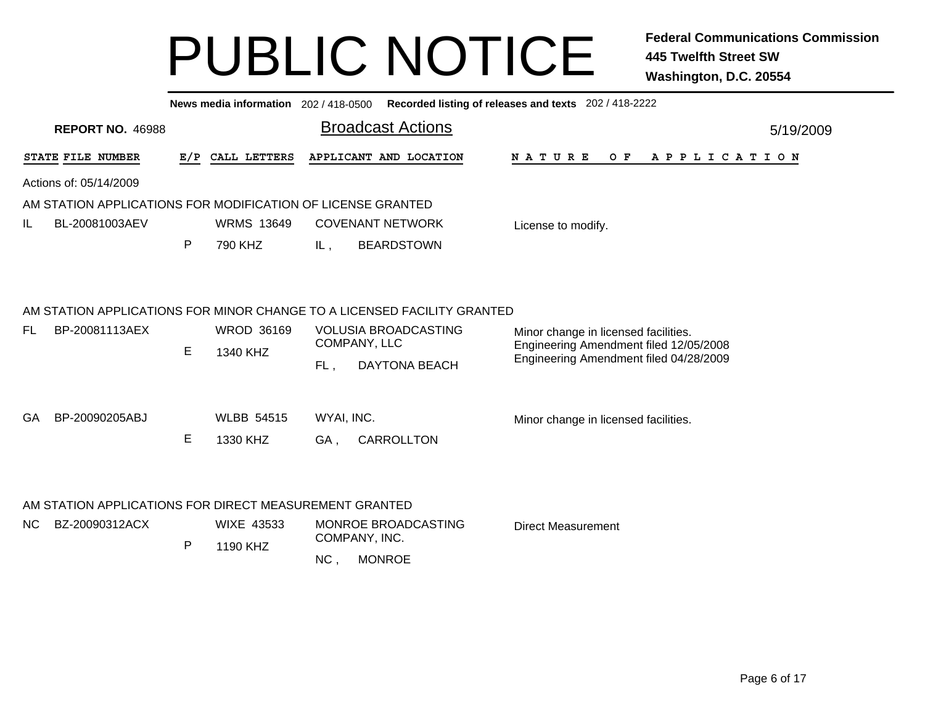|     |                                                                          |     | News media information 202 / 418-0500 |                          |                                                                                                                        | Recorded listing of releases and texts 202 / 418-2222                                                                    |  |
|-----|--------------------------------------------------------------------------|-----|---------------------------------------|--------------------------|------------------------------------------------------------------------------------------------------------------------|--------------------------------------------------------------------------------------------------------------------------|--|
|     | <b>REPORT NO. 46988</b>                                                  |     |                                       |                          | <b>Broadcast Actions</b>                                                                                               | 5/19/2009                                                                                                                |  |
|     | STATE FILE NUMBER                                                        | E/P | CALL LETTERS                          |                          | APPLICANT AND LOCATION                                                                                                 | O F<br>A P P L I C A T I O N<br>N A T U R E                                                                              |  |
|     | Actions of: 05/14/2009                                                   |     |                                       |                          |                                                                                                                        |                                                                                                                          |  |
|     | AM STATION APPLICATIONS FOR MODIFICATION OF LICENSE GRANTED              |     |                                       |                          |                                                                                                                        |                                                                                                                          |  |
| IL. | BL-20081003AEV                                                           |     | <b>WRMS 13649</b>                     |                          | <b>COVENANT NETWORK</b>                                                                                                | License to modify.                                                                                                       |  |
|     |                                                                          | P   | 790 KHZ                               | IL,                      | <b>BEARDSTOWN</b>                                                                                                      |                                                                                                                          |  |
| FL  | BP-20081113AEX                                                           | Е   | <b>WROD 36169</b><br>1340 KHZ         |                          | AM STATION APPLICATIONS FOR MINOR CHANGE TO A LICENSED FACILITY GRANTED<br><b>VOLUSIA BROADCASTING</b><br>COMPANY, LLC | Minor change in licensed facilities.<br>Engineering Amendment filed 12/05/2008<br>Engineering Amendment filed 04/28/2009 |  |
| GA  | BP-20090205ABJ                                                           | E   | <b>WLBB 54515</b><br>1330 KHZ         | FL,<br>WYAI, INC.<br>GA, | <b>DAYTONA BEACH</b><br>CARROLLTON                                                                                     | Minor change in licensed facilities.                                                                                     |  |
| NC. | AM STATION APPLICATIONS FOR DIRECT MEASUREMENT GRANTED<br>BZ-20090312ACX | P   | <b>WIXE 43533</b><br>1190 KHZ         | NC,                      | MONROE BROADCASTING<br>COMPANY, INC.<br><b>MONROE</b>                                                                  | <b>Direct Measurement</b>                                                                                                |  |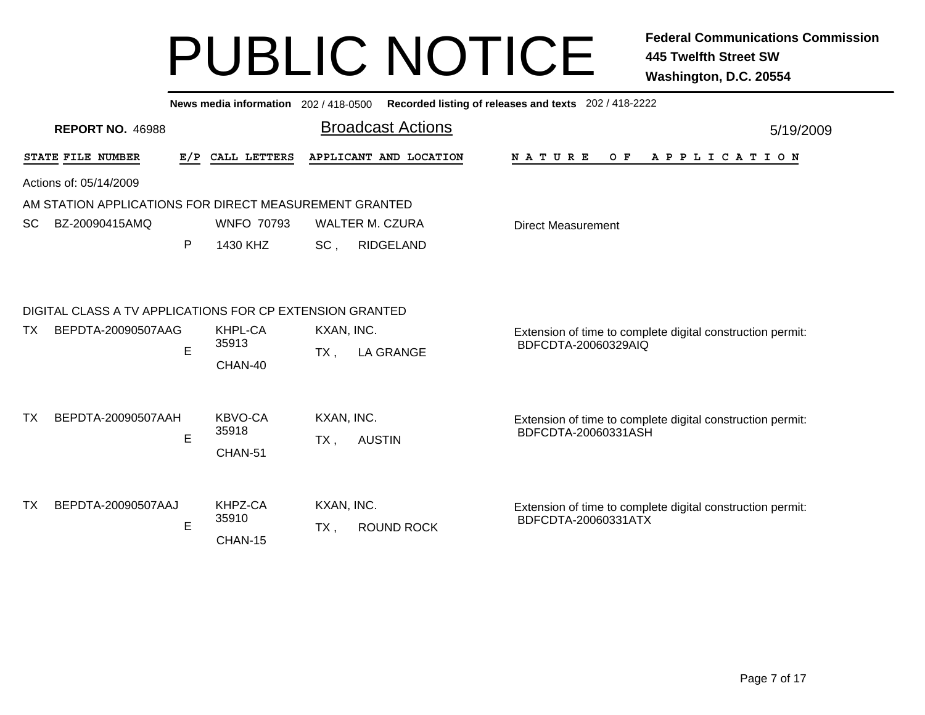|           | News media information 202 / 418-0500<br>Recorded listing of releases and texts 202 / 418-2222 |     |                             |                      |                          |                                                                                   |  |  |  |  |  |  |  |  |
|-----------|------------------------------------------------------------------------------------------------|-----|-----------------------------|----------------------|--------------------------|-----------------------------------------------------------------------------------|--|--|--|--|--|--|--|--|
|           | <b>REPORT NO. 46988</b>                                                                        |     |                             |                      | <b>Broadcast Actions</b> | 5/19/2009                                                                         |  |  |  |  |  |  |  |  |
|           | STATE FILE NUMBER                                                                              | E/P | CALL LETTERS                |                      | APPLICANT AND LOCATION   | N A T U R E<br>O F<br>A P P L I C A T I O N                                       |  |  |  |  |  |  |  |  |
|           | Actions of: 05/14/2009                                                                         |     |                             |                      |                          |                                                                                   |  |  |  |  |  |  |  |  |
|           | AM STATION APPLICATIONS FOR DIRECT MEASUREMENT GRANTED                                         |     |                             |                      |                          |                                                                                   |  |  |  |  |  |  |  |  |
| SC.       | BZ-20090415AMQ                                                                                 |     | <b>WNFO 70793</b>           |                      | <b>WALTER M. CZURA</b>   | <b>Direct Measurement</b>                                                         |  |  |  |  |  |  |  |  |
|           |                                                                                                | P   | 1430 KHZ                    | SC,                  | <b>RIDGELAND</b>         |                                                                                   |  |  |  |  |  |  |  |  |
| TX.       | DIGITAL CLASS A TV APPLICATIONS FOR CP EXTENSION GRANTED<br>BEPDTA-20090507AAG                 | E   | KHPL-CA<br>35913<br>CHAN-40 | KXAN, INC.<br>$TX$ , | <b>LA GRANGE</b>         | Extension of time to complete digital construction permit:<br>BDFCDTA-20060329AIQ |  |  |  |  |  |  |  |  |
| <b>TX</b> | BEPDTA-20090507AAH                                                                             | E   | KBVO-CA<br>35918<br>CHAN-51 | KXAN, INC.<br>$TX$ , | <b>AUSTIN</b>            | Extension of time to complete digital construction permit:<br>BDFCDTA-20060331ASH |  |  |  |  |  |  |  |  |
| <b>TX</b> | BEPDTA-20090507AAJ                                                                             | E   | KHPZ-CA<br>35910<br>CHAN-15 | KXAN, INC.<br>TX,    | <b>ROUND ROCK</b>        | Extension of time to complete digital construction permit:<br>BDFCDTA-20060331ATX |  |  |  |  |  |  |  |  |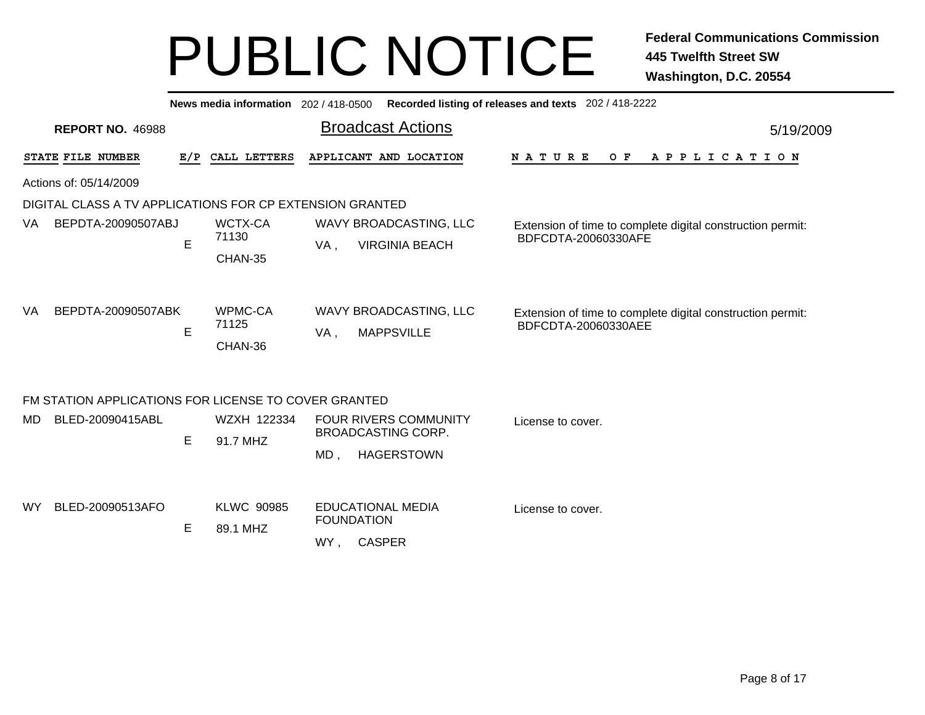| News media information 202 / 418-0500 Recorded listing of releases and texts 202 / 418-2222 |   |                               |                                                                                       |                                                                                   |  |  |  |  |  |  |  |  |  |
|---------------------------------------------------------------------------------------------|---|-------------------------------|---------------------------------------------------------------------------------------|-----------------------------------------------------------------------------------|--|--|--|--|--|--|--|--|--|
| <b>REPORT NO. 46988</b>                                                                     |   |                               | <b>Broadcast Actions</b>                                                              | 5/19/2009                                                                         |  |  |  |  |  |  |  |  |  |
| STATE FILE NUMBER                                                                           |   | E/P CALL LETTERS              | APPLICANT AND LOCATION                                                                | N A T U R E<br>O F<br>A P P L I C A T I O N                                       |  |  |  |  |  |  |  |  |  |
| Actions of: 05/14/2009                                                                      |   |                               |                                                                                       |                                                                                   |  |  |  |  |  |  |  |  |  |
| DIGITAL CLASS A TV APPLICATIONS FOR CP EXTENSION GRANTED                                    |   |                               |                                                                                       |                                                                                   |  |  |  |  |  |  |  |  |  |
| BEPDTA-20090507ABJ<br>VA.                                                                   | E | WCTX-CA<br>71130<br>CHAN-35   | WAVY BROADCASTING, LLC<br><b>VIRGINIA BEACH</b><br>VA,                                | Extension of time to complete digital construction permit:<br>BDFCDTA-20060330AFE |  |  |  |  |  |  |  |  |  |
| BEPDTA-20090507ABK<br>VA                                                                    | E | WPMC-CA<br>71125<br>CHAN-36   | WAVY BROADCASTING, LLC<br><b>MAPPSVILLE</b><br>VA,                                    | Extension of time to complete digital construction permit:<br>BDFCDTA-20060330AEE |  |  |  |  |  |  |  |  |  |
| FM STATION APPLICATIONS FOR LICENSE TO COVER GRANTED                                        |   |                               |                                                                                       |                                                                                   |  |  |  |  |  |  |  |  |  |
| BLED-20090415ABL<br>MD                                                                      | E | WZXH 122334<br>91.7 MHZ       | <b>FOUR RIVERS COMMUNITY</b><br><b>BROADCASTING CORP.</b><br><b>HAGERSTOWN</b><br>MD, | License to cover.                                                                 |  |  |  |  |  |  |  |  |  |
| BLED-20090513AFO<br><b>WY</b>                                                               | Е | <b>KLWC 90985</b><br>89.1 MHZ | <b>EDUCATIONAL MEDIA</b><br><b>FOUNDATION</b><br><b>CASPER</b><br>WY,                 | License to cover.                                                                 |  |  |  |  |  |  |  |  |  |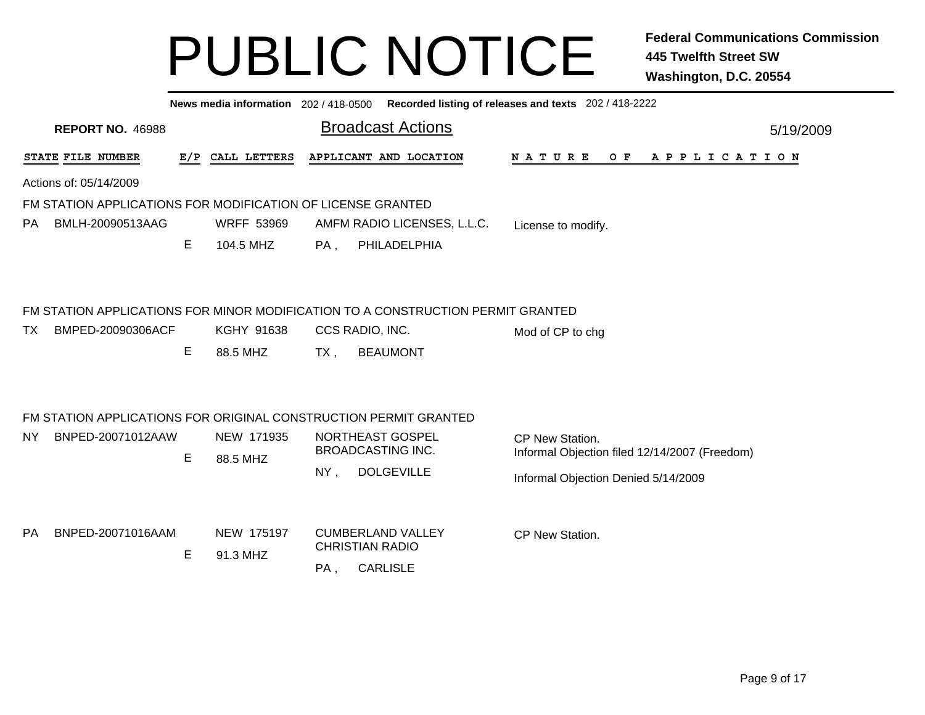|           | News media information 202 / 418-0500 Recorded listing of releases and texts 202 / 418-2222 |     |                        |        |                                                                                                                       |                                                                                                         |  |  |  |  |  |  |  |  |
|-----------|---------------------------------------------------------------------------------------------|-----|------------------------|--------|-----------------------------------------------------------------------------------------------------------------------|---------------------------------------------------------------------------------------------------------|--|--|--|--|--|--|--|--|
|           | <b>REPORT NO. 46988</b>                                                                     |     |                        |        | <b>Broadcast Actions</b>                                                                                              | 5/19/2009                                                                                               |  |  |  |  |  |  |  |  |
|           | STATE FILE NUMBER                                                                           | E/P | CALL LETTERS           |        | APPLICANT AND LOCATION                                                                                                | N A T U R E<br>O F<br>A P P L I C A T I O N                                                             |  |  |  |  |  |  |  |  |
|           | Actions of: 05/14/2009                                                                      |     |                        |        |                                                                                                                       |                                                                                                         |  |  |  |  |  |  |  |  |
|           | FM STATION APPLICATIONS FOR MODIFICATION OF LICENSE GRANTED                                 |     |                        |        |                                                                                                                       |                                                                                                         |  |  |  |  |  |  |  |  |
| PA.       | BMLH-20090513AAG                                                                            |     | <b>WRFF 53969</b>      |        | AMFM RADIO LICENSES, L.L.C.                                                                                           | License to modify.                                                                                      |  |  |  |  |  |  |  |  |
|           |                                                                                             | E.  | 104.5 MHZ              | PA,    | PHILADELPHIA                                                                                                          |                                                                                                         |  |  |  |  |  |  |  |  |
| TX.       | BMPED-20090306ACF                                                                           | E   | KGHY 91638<br>88.5 MHZ | $TX$ , | FM STATION APPLICATIONS FOR MINOR MODIFICATION TO A CONSTRUCTION PERMIT GRANTED<br>CCS RADIO, INC.<br><b>BEAUMONT</b> | Mod of CP to chg                                                                                        |  |  |  |  |  |  |  |  |
|           | FM STATION APPLICATIONS FOR ORIGINAL CONSTRUCTION PERMIT GRANTED                            |     |                        |        |                                                                                                                       |                                                                                                         |  |  |  |  |  |  |  |  |
| NY.       | BNPED-20071012AAW                                                                           | E   | NEW 171935<br>88.5 MHZ | $NY$ , | NORTHEAST GOSPEL<br><b>BROADCASTING INC.</b><br><b>DOLGEVILLE</b>                                                     | CP New Station.<br>Informal Objection filed 12/14/2007 (Freedom)<br>Informal Objection Denied 5/14/2009 |  |  |  |  |  |  |  |  |
| <b>PA</b> | BNPED-20071016AAM                                                                           | Е   | NEW 175197<br>91.3 MHZ | PA,    | <b>CUMBERLAND VALLEY</b><br><b>CHRISTIAN RADIO</b><br><b>CARLISLE</b>                                                 | CP New Station.                                                                                         |  |  |  |  |  |  |  |  |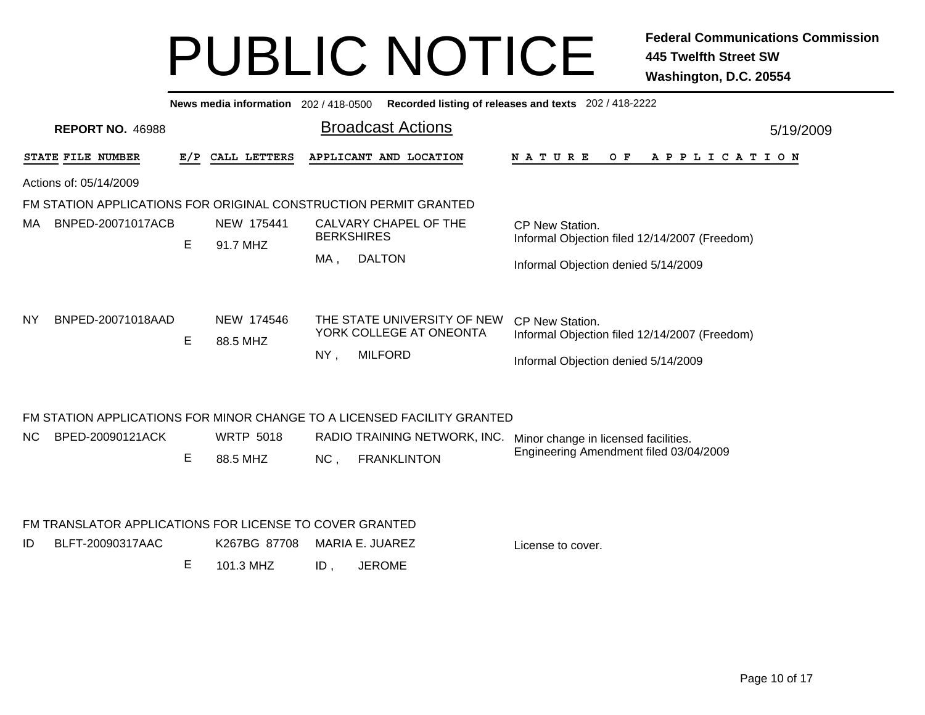|           | News media information 202/418-0500<br>Recorded listing of releases and texts 202 / 418-2222 |                   |     |          |                           |        |                                            |                                                                         |                                                                                                         |  |  |  |  |  |
|-----------|----------------------------------------------------------------------------------------------|-------------------|-----|----------|---------------------------|--------|--------------------------------------------|-------------------------------------------------------------------------|---------------------------------------------------------------------------------------------------------|--|--|--|--|--|
|           | <b>REPORT NO. 46988</b>                                                                      |                   |     |          |                           |        | <b>Broadcast Actions</b>                   |                                                                         | 5/19/2009                                                                                               |  |  |  |  |  |
|           | STATE FILE NUMBER                                                                            |                   | E/P |          | CALL LETTERS              |        | APPLICANT AND LOCATION                     |                                                                         | NATURE<br>O F<br>A P P L I C A T I O N                                                                  |  |  |  |  |  |
|           | Actions of: 05/14/2009                                                                       |                   |     |          |                           |        |                                            |                                                                         |                                                                                                         |  |  |  |  |  |
|           | FM STATION APPLICATIONS FOR ORIGINAL CONSTRUCTION PERMIT GRANTED                             |                   |     |          |                           |        |                                            |                                                                         |                                                                                                         |  |  |  |  |  |
| МA        |                                                                                              | BNPED-20071017ACB | Е   | 91.7 MHZ | NEW 175441                |        | CALVARY CHAPEL OF THE<br><b>BERKSHIRES</b> |                                                                         | CP New Station.<br>Informal Objection filed 12/14/2007 (Freedom)                                        |  |  |  |  |  |
|           |                                                                                              |                   |     |          |                           | MA,    | <b>DALTON</b>                              |                                                                         | Informal Objection denied 5/14/2009                                                                     |  |  |  |  |  |
| ΝY        | BNPED-20071018AAD                                                                            |                   | Е   | 88.5 MHZ | NEW 174546                | $NY$ , | <b>MILFORD</b>                             | THE STATE UNIVERSITY OF NEW<br>YORK COLLEGE AT ONEONTA                  | CP New Station.<br>Informal Objection filed 12/14/2007 (Freedom)<br>Informal Objection denied 5/14/2009 |  |  |  |  |  |
|           |                                                                                              |                   |     |          |                           |        |                                            | FM STATION APPLICATIONS FOR MINOR CHANGE TO A LICENSED FACILITY GRANTED |                                                                                                         |  |  |  |  |  |
| <b>NC</b> | BPED-20090121ACK                                                                             |                   | E   | 88.5 MHZ | <b>WRTP 5018</b>          | NC,    | <b>FRANKLINTON</b>                         | RADIO TRAINING NETWORK, INC.                                            | Minor change in licensed facilities.<br>Engineering Amendment filed 03/04/2009                          |  |  |  |  |  |
| ID        | FM TRANSLATOR APPLICATIONS FOR LICENSE TO COVER GRANTED<br>BLFT-20090317AAC                  |                   | Е   |          | K267BG 87708<br>101.3 MHZ | ID,    | <b>MARIA E. JUAREZ</b><br><b>JEROME</b>    |                                                                         | License to cover.                                                                                       |  |  |  |  |  |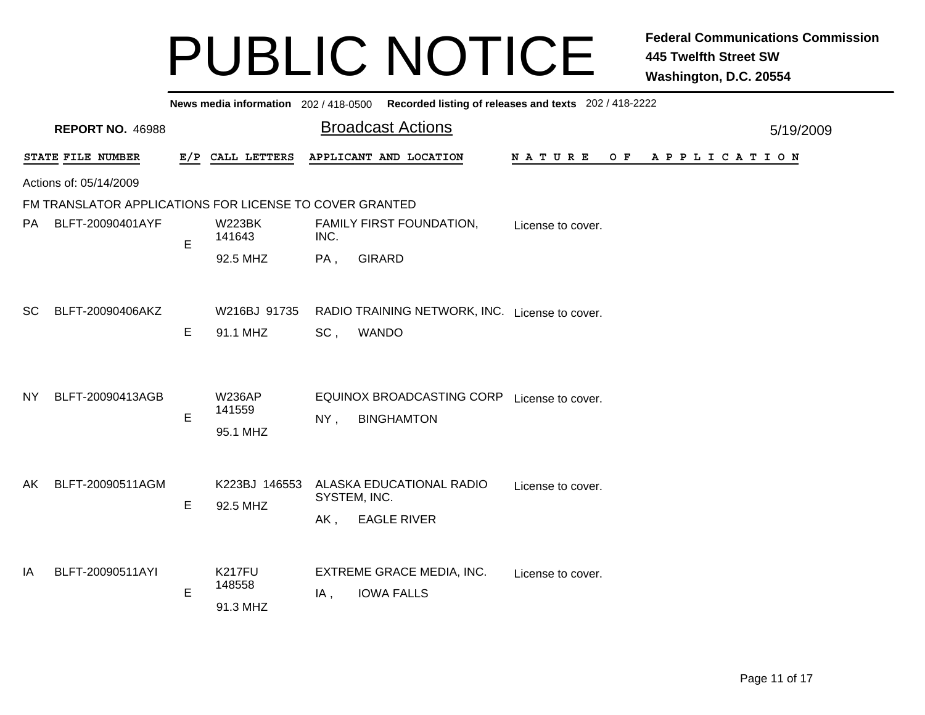|                                                         | News media information 202/418-0500 Recorded listing of releases and texts 202/418-2222 |             |                                     |                                                                                               |                       |  |  |  |  |  |  |  |  |  |
|---------------------------------------------------------|-----------------------------------------------------------------------------------------|-------------|-------------------------------------|-----------------------------------------------------------------------------------------------|-----------------------|--|--|--|--|--|--|--|--|--|
|                                                         | <b>REPORT NO. 46988</b>                                                                 |             |                                     | <b>Broadcast Actions</b>                                                                      | 5/19/2009             |  |  |  |  |  |  |  |  |  |
|                                                         | STATE FILE NUMBER                                                                       |             | E/P CALL LETTERS                    | APPLICANT AND LOCATION<br><b>NATURE</b><br>O F                                                | A P P L I C A T I O N |  |  |  |  |  |  |  |  |  |
|                                                         | Actions of: 05/14/2009                                                                  |             |                                     |                                                                                               |                       |  |  |  |  |  |  |  |  |  |
| FM TRANSLATOR APPLICATIONS FOR LICENSE TO COVER GRANTED |                                                                                         |             |                                     |                                                                                               |                       |  |  |  |  |  |  |  |  |  |
| <b>PA</b>                                               | BLFT-20090401AYF                                                                        | E           | <b>W223BK</b><br>141643             | FAMILY FIRST FOUNDATION,<br>License to cover.<br>INC.                                         |                       |  |  |  |  |  |  |  |  |  |
|                                                         |                                                                                         |             | 92.5 MHZ                            | <b>GIRARD</b><br>$PA$ ,                                                                       |                       |  |  |  |  |  |  |  |  |  |
| <b>SC</b>                                               | BLFT-20090406AKZ                                                                        | E           | W216BJ 91735<br>91.1 MHZ            | RADIO TRAINING NETWORK, INC. License to cover.<br>SC,<br><b>WANDO</b>                         |                       |  |  |  |  |  |  |  |  |  |
| NY.                                                     | BLFT-20090413AGB                                                                        | E           | <b>W236AP</b><br>141559<br>95.1 MHZ | EQUINOX BROADCASTING CORP License to cover.<br><b>BINGHAMTON</b><br>NY,                       |                       |  |  |  |  |  |  |  |  |  |
| AK                                                      | BLFT-20090511AGM                                                                        | Е           | K223BJ 146553<br>92.5 MHZ           | ALASKA EDUCATIONAL RADIO<br>License to cover.<br>SYSTEM, INC.<br><b>EAGLE RIVER</b><br>$AK$ , |                       |  |  |  |  |  |  |  |  |  |
| ΙA                                                      | BLFT-20090511AYI                                                                        | $\mathsf E$ | <b>K217FU</b><br>148558<br>91.3 MHZ | EXTREME GRACE MEDIA, INC.<br>License to cover.<br><b>IOWA FALLS</b><br>IA,                    |                       |  |  |  |  |  |  |  |  |  |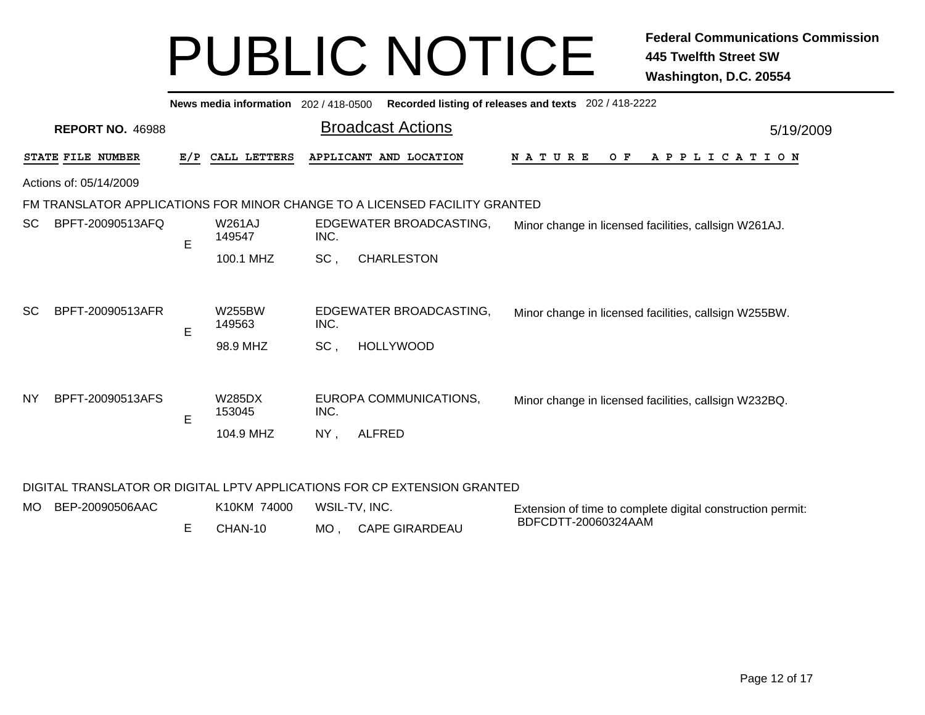| News media information 202 / 418-0500<br>Recorded listing of releases and texts 202 / 418-2222 |                                                                            |     |                                     |                          |                                             |                                                       |  |  |  |  |     |  |                       |  |  |  |  |  |  |  |  |
|------------------------------------------------------------------------------------------------|----------------------------------------------------------------------------|-----|-------------------------------------|--------------------------|---------------------------------------------|-------------------------------------------------------|--|--|--|--|-----|--|-----------------------|--|--|--|--|--|--|--|--|
|                                                                                                | <b>REPORT NO. 46988</b>                                                    |     |                                     | <b>Broadcast Actions</b> | 5/19/2009                                   |                                                       |  |  |  |  |     |  |                       |  |  |  |  |  |  |  |  |
|                                                                                                | STATE FILE NUMBER                                                          | E/P | CALL LETTERS                        |                          | APPLICANT AND LOCATION                      | N A T U R E                                           |  |  |  |  | O F |  | A P P L I C A T I O N |  |  |  |  |  |  |  |  |
| Actions of: 05/14/2009                                                                         |                                                                            |     |                                     |                          |                                             |                                                       |  |  |  |  |     |  |                       |  |  |  |  |  |  |  |  |
|                                                                                                | FM TRANSLATOR APPLICATIONS FOR MINOR CHANGE TO A LICENSED FACILITY GRANTED |     |                                     |                          |                                             |                                                       |  |  |  |  |     |  |                       |  |  |  |  |  |  |  |  |
| <sub>SC</sub>                                                                                  | BPFT-20090513AFQ                                                           | E   | <b>W261AJ</b><br>149547             | INC.                     | EDGEWATER BROADCASTING,                     | Minor change in licensed facilities, callsign W261AJ. |  |  |  |  |     |  |                       |  |  |  |  |  |  |  |  |
|                                                                                                |                                                                            |     | 100.1 MHZ                           | SC,                      | <b>CHARLESTON</b>                           |                                                       |  |  |  |  |     |  |                       |  |  |  |  |  |  |  |  |
| <b>SC</b>                                                                                      | BPFT-20090513AFR                                                           | E   | <b>W255BW</b><br>149563<br>98.9 MHZ | INC.<br>SC,              | EDGEWATER BROADCASTING,<br><b>HOLLYWOOD</b> | Minor change in licensed facilities, callsign W255BW. |  |  |  |  |     |  |                       |  |  |  |  |  |  |  |  |
| <b>NY</b>                                                                                      | BPFT-20090513AFS                                                           | E   | W285DX<br>153045<br>104.9 MHZ       | INC.<br>$NY$ ,           | EUROPA COMMUNICATIONS,<br><b>ALFRED</b>     | Minor change in licensed facilities, callsign W232BQ. |  |  |  |  |     |  |                       |  |  |  |  |  |  |  |  |

#### DIGITAL TRANSLATOR OR DIGITAL LPTV APPLICATIONS FOR CP EXTENSION GRANTED

| MO BEP-20090506AAC | K10KM 74000 | WSIL-TV, INC.      | Extension of time to complete digital construction permit: |
|--------------------|-------------|--------------------|------------------------------------------------------------|
|                    | CHAN-10     | MO, CAPE GIRARDEAU | BDFCDTT-20060324AAM                                        |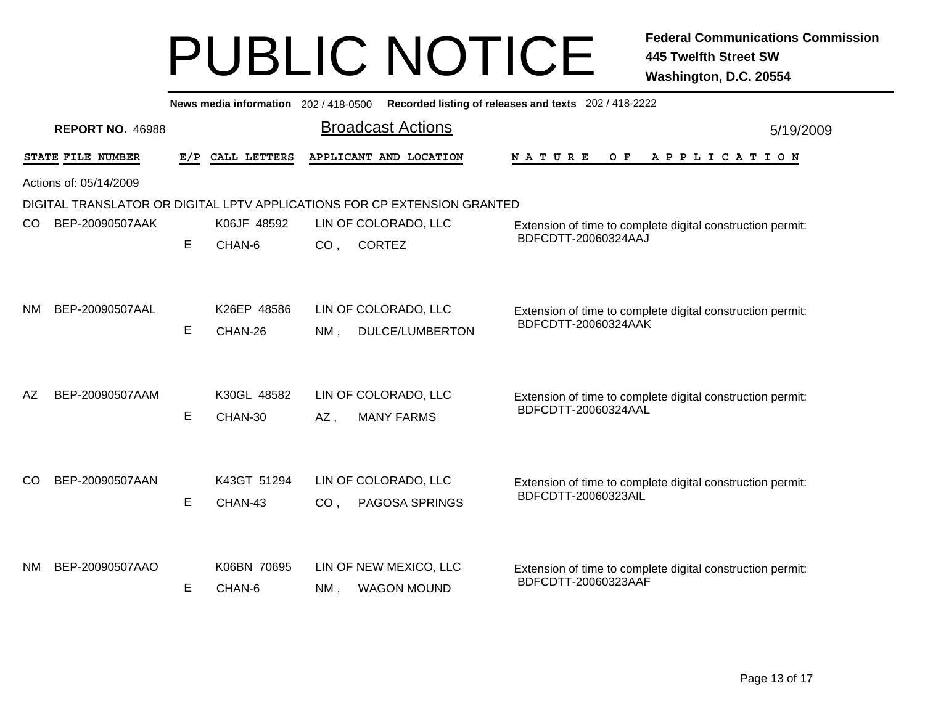|               |                                                                          |     |                        |                 | News media information 202 / 418-0500 Recorded listing of releases and texts 202 / 418-2222 |                                                                                   |           |  |  |  |  |  |  |  |
|---------------|--------------------------------------------------------------------------|-----|------------------------|-----------------|---------------------------------------------------------------------------------------------|-----------------------------------------------------------------------------------|-----------|--|--|--|--|--|--|--|
|               | <b>REPORT NO. 46988</b>                                                  |     |                        |                 | <b>Broadcast Actions</b>                                                                    |                                                                                   | 5/19/2009 |  |  |  |  |  |  |  |
|               | STATE FILE NUMBER                                                        | E/P | CALL LETTERS           |                 | APPLICANT AND LOCATION                                                                      | O F<br>APPLICATION<br>N A T U R E                                                 |           |  |  |  |  |  |  |  |
|               | Actions of: 05/14/2009                                                   |     |                        |                 |                                                                                             |                                                                                   |           |  |  |  |  |  |  |  |
|               | DIGITAL TRANSLATOR OR DIGITAL LPTV APPLICATIONS FOR CP EXTENSION GRANTED |     |                        |                 |                                                                                             |                                                                                   |           |  |  |  |  |  |  |  |
| <sub>CO</sub> | BEP-20090507AAK                                                          |     | K06JF 48592            |                 | LIN OF COLORADO, LLC                                                                        | Extension of time to complete digital construction permit:                        |           |  |  |  |  |  |  |  |
|               |                                                                          | E   | CHAN-6                 | CO <sub>1</sub> | <b>CORTEZ</b>                                                                               | BDFCDTT-20060324AAJ                                                               |           |  |  |  |  |  |  |  |
| ΝM            | BEP-20090507AAL                                                          | E   | K26EP 48586<br>CHAN-26 | $NM$ ,          | LIN OF COLORADO, LLC<br><b>DULCE/LUMBERTON</b>                                              | Extension of time to complete digital construction permit:<br>BDFCDTT-20060324AAK |           |  |  |  |  |  |  |  |
| AZ            | BEP-20090507AAM                                                          | E.  | K30GL 48582<br>CHAN-30 | AZ,             | LIN OF COLORADO, LLC<br><b>MANY FARMS</b>                                                   | Extension of time to complete digital construction permit:<br>BDFCDTT-20060324AAL |           |  |  |  |  |  |  |  |
| CO            | BEP-20090507AAN                                                          | E.  | K43GT 51294<br>CHAN-43 | CO <sub>1</sub> | LIN OF COLORADO, LLC<br>PAGOSA SPRINGS                                                      | Extension of time to complete digital construction permit:<br>BDFCDTT-20060323AIL |           |  |  |  |  |  |  |  |
| NM.           | BEP-20090507AAO                                                          | E.  | K06BN 70695<br>CHAN-6  | $NM$ .          | LIN OF NEW MEXICO, LLC<br><b>WAGON MOUND</b>                                                | Extension of time to complete digital construction permit:<br>BDFCDTT-20060323AAF |           |  |  |  |  |  |  |  |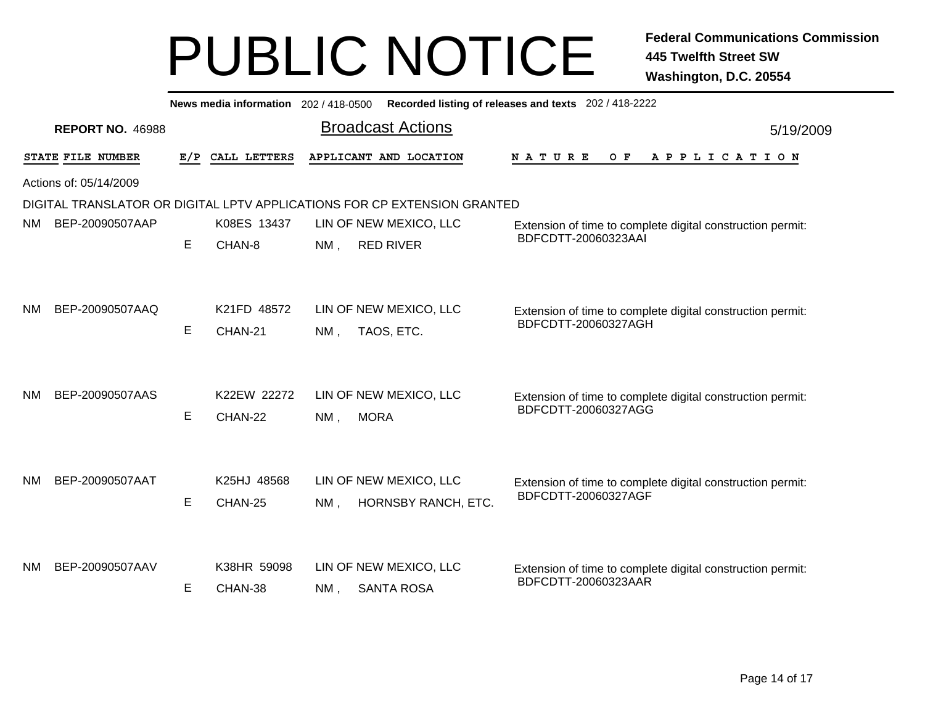|                                                                          | News media information 202 / 418-0500<br>Recorded listing of releases and texts 202 / 418-2222 |     |                                       |        |                                                            |                                                            |  |  |  |  |  |  |  |
|--------------------------------------------------------------------------|------------------------------------------------------------------------------------------------|-----|---------------------------------------|--------|------------------------------------------------------------|------------------------------------------------------------|--|--|--|--|--|--|--|
| <b>REPORT NO. 46988</b>                                                  |                                                                                                |     |                                       |        | <b>Broadcast Actions</b>                                   | 5/19/2009                                                  |  |  |  |  |  |  |  |
|                                                                          | STATE FILE NUMBER                                                                              | E/P | CALL LETTERS                          |        | APPLICANT AND LOCATION                                     | A P P L I C A T I O N<br>N A T U R E<br>O F                |  |  |  |  |  |  |  |
|                                                                          | Actions of: 05/14/2009                                                                         |     |                                       |        |                                                            |                                                            |  |  |  |  |  |  |  |
| DIGITAL TRANSLATOR OR DIGITAL LPTV APPLICATIONS FOR CP EXTENSION GRANTED |                                                                                                |     |                                       |        |                                                            |                                                            |  |  |  |  |  |  |  |
| <b>NM</b>                                                                | BEP-20090507AAP                                                                                |     | K08ES 13437                           |        | LIN OF NEW MEXICO, LLC                                     | Extension of time to complete digital construction permit: |  |  |  |  |  |  |  |
|                                                                          |                                                                                                | E   | CHAN-8                                | NM,    | <b>RED RIVER</b>                                           | BDFCDTT-20060323AAI                                        |  |  |  |  |  |  |  |
|                                                                          |                                                                                                |     |                                       |        |                                                            |                                                            |  |  |  |  |  |  |  |
|                                                                          |                                                                                                |     |                                       |        |                                                            |                                                            |  |  |  |  |  |  |  |
| <b>NM</b>                                                                | BEP-20090507AAQ                                                                                |     | K21FD 48572                           |        | LIN OF NEW MEXICO, LLC                                     | Extension of time to complete digital construction permit: |  |  |  |  |  |  |  |
|                                                                          |                                                                                                | E   | CHAN-21                               | $NM$ , | TAOS, ETC.                                                 | BDFCDTT-20060327AGH                                        |  |  |  |  |  |  |  |
|                                                                          |                                                                                                |     |                                       |        |                                                            |                                                            |  |  |  |  |  |  |  |
|                                                                          |                                                                                                |     |                                       |        |                                                            |                                                            |  |  |  |  |  |  |  |
| <b>NM</b>                                                                | BEP-20090507AAS                                                                                |     | K22EW 22272                           |        | LIN OF NEW MEXICO, LLC                                     | Extension of time to complete digital construction permit: |  |  |  |  |  |  |  |
|                                                                          |                                                                                                | E   | CHAN-22                               | $NM$ , | <b>MORA</b>                                                | BDFCDTT-20060327AGG                                        |  |  |  |  |  |  |  |
|                                                                          |                                                                                                |     |                                       |        |                                                            |                                                            |  |  |  |  |  |  |  |
|                                                                          |                                                                                                |     |                                       |        |                                                            |                                                            |  |  |  |  |  |  |  |
| <b>NM</b>                                                                | BEP-20090507AAT                                                                                |     | K25HJ 48568                           |        | LIN OF NEW MEXICO, LLC                                     | Extension of time to complete digital construction permit: |  |  |  |  |  |  |  |
|                                                                          |                                                                                                | E   | CHAN-25                               | NM.    | HORNSBY RANCH, ETC.                                        | BDFCDTT-20060327AGF                                        |  |  |  |  |  |  |  |
|                                                                          |                                                                                                |     |                                       |        |                                                            |                                                            |  |  |  |  |  |  |  |
|                                                                          |                                                                                                |     |                                       |        |                                                            |                                                            |  |  |  |  |  |  |  |
| NM.                                                                      | BEP-20090507AAV                                                                                |     | K38HR 59098<br>LIN OF NEW MEXICO, LLC |        | Extension of time to complete digital construction permit: |                                                            |  |  |  |  |  |  |  |
|                                                                          |                                                                                                | Е   | CHAN-38                               | $NM$ , | <b>SANTA ROSA</b>                                          | BDFCDTT-20060323AAR                                        |  |  |  |  |  |  |  |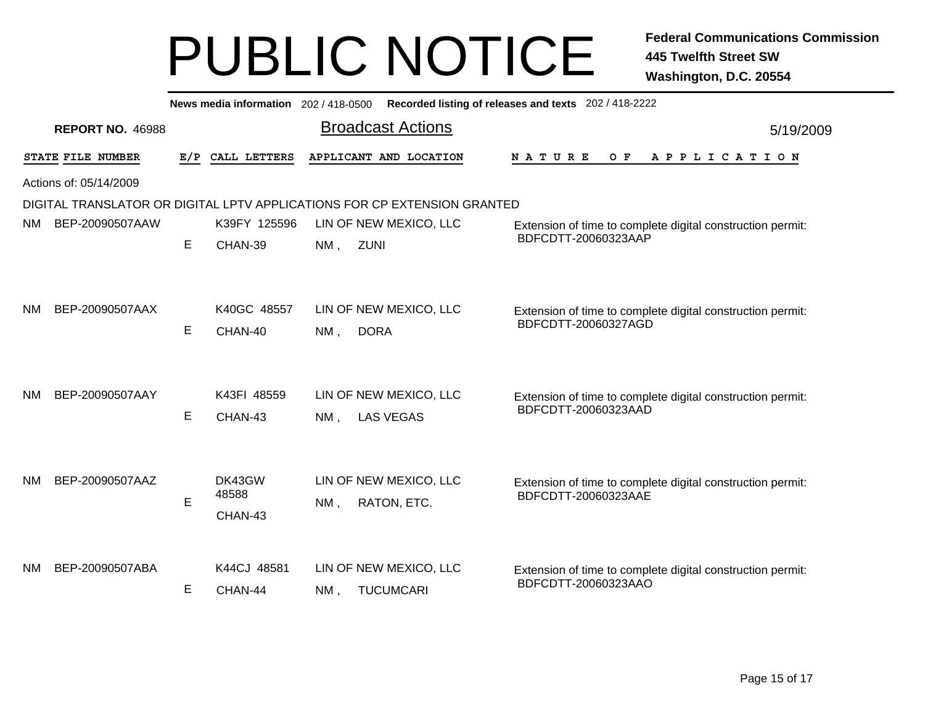| Recorded listing of releases and texts 202 / 418-2222<br>News media information 202 / 418-0500 |                        |     |                            |        |                                            |                                                                                   |  |  |  |  |  |  |  |  |  |
|------------------------------------------------------------------------------------------------|------------------------|-----|----------------------------|--------|--------------------------------------------|-----------------------------------------------------------------------------------|--|--|--|--|--|--|--|--|--|
| <b>REPORT NO. 46988</b>                                                                        |                        |     |                            |        | <b>Broadcast Actions</b>                   | 5/19/2009                                                                         |  |  |  |  |  |  |  |  |  |
|                                                                                                | STATE FILE NUMBER      | E/P | CALL LETTERS               |        | APPLICANT AND LOCATION                     | <b>NATURE</b><br>O F<br>A P P L I C A T I O N                                     |  |  |  |  |  |  |  |  |  |
|                                                                                                | Actions of: 05/14/2009 |     |                            |        |                                            |                                                                                   |  |  |  |  |  |  |  |  |  |
| DIGITAL TRANSLATOR OR DIGITAL LPTV APPLICATIONS FOR CP EXTENSION GRANTED                       |                        |     |                            |        |                                            |                                                                                   |  |  |  |  |  |  |  |  |  |
| NM.                                                                                            | BEP-20090507AAW        |     | K39FY 125596               |        | LIN OF NEW MEXICO, LLC                     | Extension of time to complete digital construction permit:                        |  |  |  |  |  |  |  |  |  |
|                                                                                                |                        | Е   | CHAN-39                    | $NM$ , | <b>ZUNI</b>                                | BDFCDTT-20060323AAP                                                               |  |  |  |  |  |  |  |  |  |
| NM                                                                                             | BEP-20090507AAX        | E   | K40GC 48557<br>CHAN-40     | $NM$ . | LIN OF NEW MEXICO, LLC<br><b>DORA</b>      | Extension of time to complete digital construction permit:<br>BDFCDTT-20060327AGD |  |  |  |  |  |  |  |  |  |
| <b>NM</b>                                                                                      | BEP-20090507AAY        | E   | K43FI 48559<br>CHAN-43     | $NM$ . | LIN OF NEW MEXICO, LLC<br><b>LAS VEGAS</b> | Extension of time to complete digital construction permit:<br>BDFCDTT-20060323AAD |  |  |  |  |  |  |  |  |  |
| NM                                                                                             | BEP-20090507AAZ        | E   | DK43GW<br>48588<br>CHAN-43 | NM,    | LIN OF NEW MEXICO, LLC<br>RATON, ETC.      | Extension of time to complete digital construction permit:<br>BDFCDTT-20060323AAE |  |  |  |  |  |  |  |  |  |
| NΜ                                                                                             | BEP-20090507ABA        | Е   | K44CJ 48581<br>CHAN-44     | NM.    | LIN OF NEW MEXICO, LLC<br><b>TUCUMCARI</b> | Extension of time to complete digital construction permit:<br>BDFCDTT-20060323AAO |  |  |  |  |  |  |  |  |  |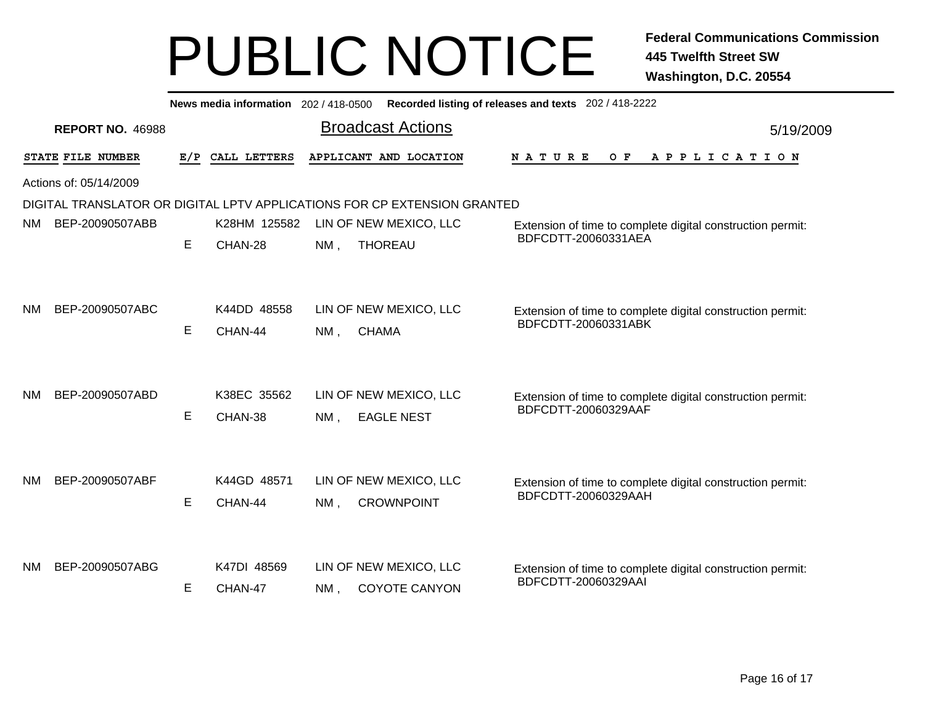| <b>Broadcast Actions</b><br><b>REPORT NO. 46988</b><br>5/19/2009<br>STATE FILE NUMBER<br>E/P<br>CALL LETTERS<br>APPLICANT AND LOCATION<br>N A T U R E<br>O F<br>A P P L I C A T I O N<br>Actions of: 05/14/2009<br>DIGITAL TRANSLATOR OR DIGITAL LPTV APPLICATIONS FOR CP EXTENSION GRANTED<br>K28HM 125582<br>BEP-20090507ABB<br>LIN OF NEW MEXICO, LLC<br>NM.<br>Extension of time to complete digital construction permit:<br>BDFCDTT-20060331AEA<br>E<br>CHAN-28<br><b>THOREAU</b><br>NM,<br>K44DD 48558<br>LIN OF NEW MEXICO, LLC<br>BEP-20090507ABC<br>NM.<br>Extension of time to complete digital construction permit:<br>BDFCDTT-20060331ABK<br>E.<br>CHAN-44<br>$NM$ ,<br><b>CHAMA</b><br>BEP-20090507ABD<br>K38EC 35562<br>LIN OF NEW MEXICO, LLC<br><b>NM</b><br>Extension of time to complete digital construction permit:<br>BDFCDTT-20060329AAF<br>E<br>CHAN-38<br>$NM$ ,<br><b>EAGLE NEST</b><br>K44GD 48571<br>BEP-20090507ABF<br>LIN OF NEW MEXICO, LLC<br>ΝM<br>Extension of time to complete digital construction permit:<br>BDFCDTT-20060329AAH<br>E<br>CHAN-44<br><b>CROWNPOINT</b><br>$NM$ ,<br>LIN OF NEW MEXICO, LLC<br>BEP-20090507ABG<br>K47DI 48569<br>NM.<br>Extension of time to complete digital construction permit: | News media information 202 / 418-0500 Recorded listing of releases and texts 202 / 418-2222 |  |  |  |  |  |  |  |  |  |  |
|------------------------------------------------------------------------------------------------------------------------------------------------------------------------------------------------------------------------------------------------------------------------------------------------------------------------------------------------------------------------------------------------------------------------------------------------------------------------------------------------------------------------------------------------------------------------------------------------------------------------------------------------------------------------------------------------------------------------------------------------------------------------------------------------------------------------------------------------------------------------------------------------------------------------------------------------------------------------------------------------------------------------------------------------------------------------------------------------------------------------------------------------------------------------------------------------------------------------------------------------------|---------------------------------------------------------------------------------------------|--|--|--|--|--|--|--|--|--|--|
|                                                                                                                                                                                                                                                                                                                                                                                                                                                                                                                                                                                                                                                                                                                                                                                                                                                                                                                                                                                                                                                                                                                                                                                                                                                      |                                                                                             |  |  |  |  |  |  |  |  |  |  |
|                                                                                                                                                                                                                                                                                                                                                                                                                                                                                                                                                                                                                                                                                                                                                                                                                                                                                                                                                                                                                                                                                                                                                                                                                                                      |                                                                                             |  |  |  |  |  |  |  |  |  |  |
|                                                                                                                                                                                                                                                                                                                                                                                                                                                                                                                                                                                                                                                                                                                                                                                                                                                                                                                                                                                                                                                                                                                                                                                                                                                      |                                                                                             |  |  |  |  |  |  |  |  |  |  |
|                                                                                                                                                                                                                                                                                                                                                                                                                                                                                                                                                                                                                                                                                                                                                                                                                                                                                                                                                                                                                                                                                                                                                                                                                                                      |                                                                                             |  |  |  |  |  |  |  |  |  |  |
|                                                                                                                                                                                                                                                                                                                                                                                                                                                                                                                                                                                                                                                                                                                                                                                                                                                                                                                                                                                                                                                                                                                                                                                                                                                      |                                                                                             |  |  |  |  |  |  |  |  |  |  |
|                                                                                                                                                                                                                                                                                                                                                                                                                                                                                                                                                                                                                                                                                                                                                                                                                                                                                                                                                                                                                                                                                                                                                                                                                                                      |                                                                                             |  |  |  |  |  |  |  |  |  |  |
|                                                                                                                                                                                                                                                                                                                                                                                                                                                                                                                                                                                                                                                                                                                                                                                                                                                                                                                                                                                                                                                                                                                                                                                                                                                      |                                                                                             |  |  |  |  |  |  |  |  |  |  |
|                                                                                                                                                                                                                                                                                                                                                                                                                                                                                                                                                                                                                                                                                                                                                                                                                                                                                                                                                                                                                                                                                                                                                                                                                                                      |                                                                                             |  |  |  |  |  |  |  |  |  |  |
|                                                                                                                                                                                                                                                                                                                                                                                                                                                                                                                                                                                                                                                                                                                                                                                                                                                                                                                                                                                                                                                                                                                                                                                                                                                      |                                                                                             |  |  |  |  |  |  |  |  |  |  |
|                                                                                                                                                                                                                                                                                                                                                                                                                                                                                                                                                                                                                                                                                                                                                                                                                                                                                                                                                                                                                                                                                                                                                                                                                                                      |                                                                                             |  |  |  |  |  |  |  |  |  |  |
|                                                                                                                                                                                                                                                                                                                                                                                                                                                                                                                                                                                                                                                                                                                                                                                                                                                                                                                                                                                                                                                                                                                                                                                                                                                      |                                                                                             |  |  |  |  |  |  |  |  |  |  |
|                                                                                                                                                                                                                                                                                                                                                                                                                                                                                                                                                                                                                                                                                                                                                                                                                                                                                                                                                                                                                                                                                                                                                                                                                                                      |                                                                                             |  |  |  |  |  |  |  |  |  |  |
|                                                                                                                                                                                                                                                                                                                                                                                                                                                                                                                                                                                                                                                                                                                                                                                                                                                                                                                                                                                                                                                                                                                                                                                                                                                      |                                                                                             |  |  |  |  |  |  |  |  |  |  |
|                                                                                                                                                                                                                                                                                                                                                                                                                                                                                                                                                                                                                                                                                                                                                                                                                                                                                                                                                                                                                                                                                                                                                                                                                                                      |                                                                                             |  |  |  |  |  |  |  |  |  |  |
|                                                                                                                                                                                                                                                                                                                                                                                                                                                                                                                                                                                                                                                                                                                                                                                                                                                                                                                                                                                                                                                                                                                                                                                                                                                      |                                                                                             |  |  |  |  |  |  |  |  |  |  |
|                                                                                                                                                                                                                                                                                                                                                                                                                                                                                                                                                                                                                                                                                                                                                                                                                                                                                                                                                                                                                                                                                                                                                                                                                                                      |                                                                                             |  |  |  |  |  |  |  |  |  |  |
|                                                                                                                                                                                                                                                                                                                                                                                                                                                                                                                                                                                                                                                                                                                                                                                                                                                                                                                                                                                                                                                                                                                                                                                                                                                      |                                                                                             |  |  |  |  |  |  |  |  |  |  |
|                                                                                                                                                                                                                                                                                                                                                                                                                                                                                                                                                                                                                                                                                                                                                                                                                                                                                                                                                                                                                                                                                                                                                                                                                                                      |                                                                                             |  |  |  |  |  |  |  |  |  |  |
|                                                                                                                                                                                                                                                                                                                                                                                                                                                                                                                                                                                                                                                                                                                                                                                                                                                                                                                                                                                                                                                                                                                                                                                                                                                      |                                                                                             |  |  |  |  |  |  |  |  |  |  |
| BDFCDTT-20060329AAI<br>E.<br>CHAN-47<br><b>COYOTE CANYON</b><br>$NM$ .                                                                                                                                                                                                                                                                                                                                                                                                                                                                                                                                                                                                                                                                                                                                                                                                                                                                                                                                                                                                                                                                                                                                                                               |                                                                                             |  |  |  |  |  |  |  |  |  |  |